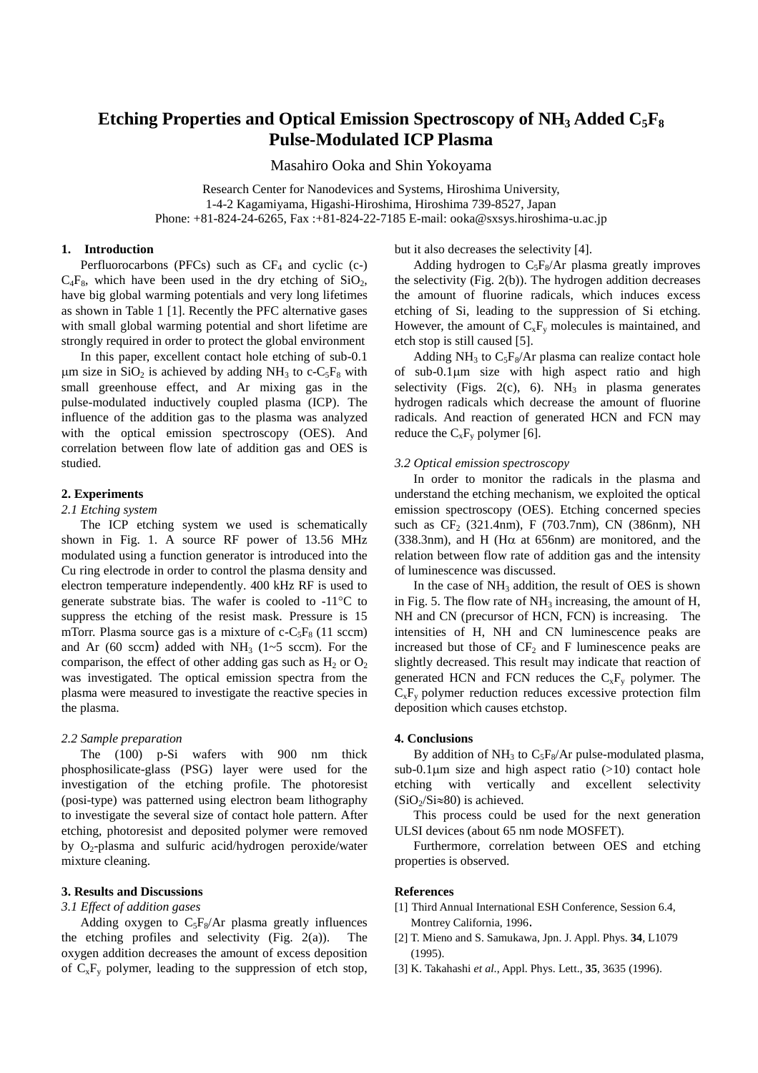# Etching Properties and Optical Emission Spectroscopy of NH<sub>3</sub> Added C<sub>5</sub>F<sub>8</sub> **Pulse-Modulated ICP Plasma**

Masahiro Ooka and Shin Yokoyama

Research Center for Nanodevices and Systems, Hiroshima University, 1-4-2 Kagamiyama, Higashi-Hiroshima, Hiroshima 739-8527, Japan Phone: +81-824-24-6265, Fax :+81-824-22-7185 E-mail: ooka@sxsys.hiroshima-u.ac.jp

## **1. Introduction**

Perfluorocarbons (PFCs) such as  $CF_4$  and cyclic (c-)  $C_4F_8$ , which have been used in the dry etching of  $SiO<sub>2</sub>$ , have big global warming potentials and very long lifetimes as shown in Table 1 [1]. Recently the PFC alternative gases with small global warming potential and short lifetime are strongly required in order to protect the global environment

In this paper, excellent contact hole etching of sub-0.1  $\mu$ m size in SiO<sub>2</sub> is achieved by adding NH<sub>3</sub> to c-C<sub>5</sub>F<sub>8</sub> with small greenhouse effect, and Ar mixing gas in the pulse-modulated inductively coupled plasma (ICP). The influence of the addition gas to the plasma was analyzed with the optical emission spectroscopy (OES). And correlation between flow late of addition gas and OES is studied.

# **2. Experiments**

## *2.1 Etching system*

The ICP etching system we used is schematically shown in Fig. 1. A source RF power of 13.56 MHz modulated using a function generator is introduced into the Cu ring electrode in order to control the plasma density and electron temperature independently. 400 kHz RF is used to generate substrate bias. The wafer is cooled to -11°C to suppress the etching of the resist mask. Pressure is 15 mTorr. Plasma source gas is a mixture of  $c$ -C<sub>5</sub>F<sub>8</sub> (11 sccm) and Ar (60 sccm) added with  $NH<sub>3</sub>$  (1~5 sccm). For the comparison, the effect of other adding gas such as  $H_2$  or  $O_2$ was investigated. The optical emission spectra from the plasma were measured to investigate the reactive species in the plasma.

#### *2.2 Sample preparation*

The (100) p-Si wafers with 900 nm thick phosphosilicate-glass (PSG) layer were used for the investigation of the etching profile. The photoresist (posi-type) was patterned using electron beam lithography to investigate the several size of contact hole pattern. After etching, photoresist and deposited polymer were removed by O2-plasma and sulfuric acid/hydrogen peroxide/water mixture cleaning.

## **3. Results and Discussions**

## *3.1 Effect of addition gases*

Adding oxygen to  $C_5F_8/Ar$  plasma greatly influences the etching profiles and selectivity (Fig. 2(a)). The oxygen addition decreases the amount of excess deposition of  $C_xF_y$  polymer, leading to the suppression of etch stop, but it also decreases the selectivity [4].

Adding hydrogen to  $C_5F_8/Ar$  plasma greatly improves the selectivity (Fig. 2(b)). The hydrogen addition decreases the amount of fluorine radicals, which induces excess etching of Si, leading to the suppression of Si etching. However, the amount of  $C_xF_y$  molecules is maintained, and etch stop is still caused [5].

Adding NH<sub>3</sub> to  $C_5F_8/Ar$  plasma can realize contact hole of sub-0.1µm size with high aspect ratio and high selectivity (Figs. 2(c), 6).  $NH<sub>3</sub>$  in plasma generates hydrogen radicals which decrease the amount of fluorine radicals. And reaction of generated HCN and FCN may reduce the  $C_xF_y$  polymer [6].

#### *3.2 Optical emission spectroscopy*

In order to monitor the radicals in the plasma and understand the etching mechanism, we exploited the optical emission spectroscopy (OES). Etching concerned species such as  $CF_2$  (321.4nm), F (703.7nm), CN (386nm), NH (338.3nm), and H (H $\alpha$  at 656nm) are monitored, and the relation between flow rate of addition gas and the intensity of luminescence was discussed.

In the case of  $NH_3$  addition, the result of OES is shown in Fig. 5. The flow rate of  $NH<sub>3</sub>$  increasing, the amount of H, NH and CN (precursor of HCN, FCN) is increasing. The intensities of H, NH and CN luminescence peaks are increased but those of  $CF_2$  and F luminescence peaks are slightly decreased. This result may indicate that reaction of generated HCN and FCN reduces the  $C_xF_y$  polymer. The  $C_xF_y$  polymer reduction reduces excessive protection film deposition which causes etchstop.

#### **4. Conclusions**

By addition of  $NH_3$  to  $C_5F_8/Ar$  pulse-modulated plasma, sub-0.1 $\mu$ m size and high aspect ratio (>10) contact hole etching with vertically and excellent selectivity  $(SiO<sub>2</sub>/Si \approx 80)$  is achieved.

This process could be used for the next generation ULSI devices (about 65 nm node MOSFET).

Furthermore, correlation between OES and etching properties is observed.

### **References**

- [1] Third Annual International ESH Conference, Session 6.4, Montrey California, 1996.
- [2] T. Mieno and S. Samukawa, Jpn. J. Appl. Phys. **34**, L1079 (1995).
- [3] K. Takahashi *et al*., Appl. Phys. Lett., **35**, 3635 (1996).